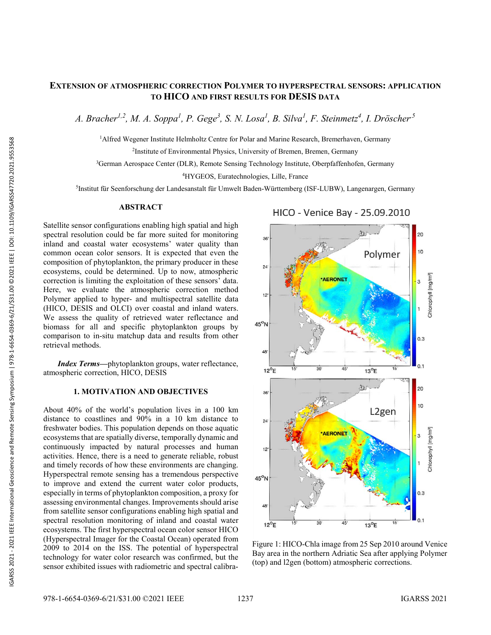# **E XTENSION OF ATMOSPHERIC CORRECTION POLYMER TO HYPERSPECTRAL SENSORS : APPLICATION TO HICO AND FIRST RESULTS FOR DESIS DATA**

*A. Bracher1,2, M. A. Soppa 1 , P. Gege 3 , S. N. Losa 1 , B. Silva 1 , F. Steinmetz 4 , I. Dröscher,5*

<sup>1</sup>Alfred Wegener Institute Helmholtz Centre for Polar and Marine Research, Bremerhaven, Germany

2Institute of Environmental Physics, University of Bremen, Bremen, Germany

3German Aerospace Center (DLR), Remote Sensing Technology Institute, Oberpfaffenhofen, Germany

4HYGEOS, Euratechnologies, Lille, France

<sup>5</sup>Institut für Seenforschung der Landesanstalt für Umwelt Baden-Württemberg (ISF-LUBW), Langenargen, Germany

## **ABSTRACT**

Satellite sensor configurations enabling high spatial and high spectral resolution could be far more suited for monitoring inland and coastal water ecosystems ' water quality than common ocean color sensors. It is expected that even the composition of phytoplankton, the primary producer in these ecosystems, could be determined. Up to now, atmospheric correction is limiting the exploitation of these sensors ' data. Here, we evaluate the atmospheric correction method Polymer applied to hyper - and multispectral satellite data (HICO, DESIS and OLCI) over coastal and inland waters. We assess the quality of retrieved water reflectance and biomass for all and specific phytoplankton groups by comparison to in -situ matchup data and results from other retrieval methods.

*Index Terms —*phytoplankton groups, water reflectance, atmospheric correction , HICO, DESIS

## **1. MOTIVATION AND OBJECTIVES**

About 40% of the world's population lives in a 100 km distance to coastlines and 90% in a 10 km distance to freshwater bodies. This population depends on those aquatic ecosystems that are spatially diverse, temporally dynamic and continuously impacted by natural processes and human activities. Hence, there is a need to generate reliable, robust Hyperspectral remote sensing has a tremendous perspective to improve and extend the current water color products, especially in terms of phytoplankton composition, a proxy for assessing environmental changes. Improvements should arise from satellite sensor configurations enabling high spatial and spectral resolution monitoring of inland and coastal water ecosystems. The first hyperspectral ocean color sensor HICO (Hyperspectral Imager for the Coastal Ocean) operated from 2009 to 2014 on the ISS . The potential of hyperspectral technology for water color research was confirmed, but the sensor exhibited issues with radiometric and spectral calibra -



Figure 1: HICO -Chla image from 25 Sep 2010 around Venice Bay area in the northern Adriatic Sea after applying Polymer (top) and l2gen (bottom) atmospheric corrections .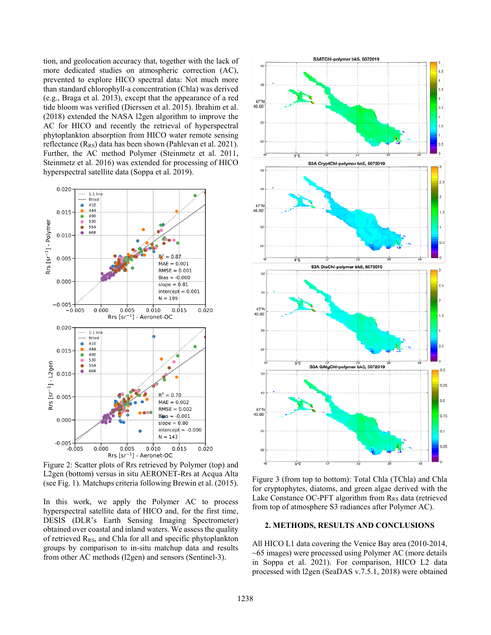tion, and geolocation accuracy that, together with the lack of more dedicated studies on atmospheric correction (AC), prevented to explore HICO spectral data: Not much more than standard chlorophyll-a concentration (Chla) was derived (e.g., Braga et al. 2013), except that the appearance of a red tide bloom was verified (Dierssen et al. 2015). Ibrahim et al. (2018) extended the NASA l2gen algorithm to improve the AC for HICO and recently the retrieval of hyperspectral phytoplankton absorption from HICO water remote sensing reflectance  $(R_{RS})$  data has been shown (Pahlevan et al. 2021). Further, the AC method Polymer (Steinmetz et al. 2011, Steinmetz et al. 2016) was extended for processing of HICO hyperspectral satellite data (Soppa et al. 2019).



Figure 2: Scatter plots of Rrs retrieved by Polymer (top) and L2gen (bottom) versus in situ AERONET-Rrs at Acqua Alta (see Fig. 1). Matchups criteria following Brewin et al. (2015).

In this work, we apply the Polymer AC to process hyperspectral satellite data of HICO and, for the first time, DESIS (DLR's Earth Sensing Imaging Spectrometer) obtained over coastal and inland waters. We assess the quality of retrieved  $R_{RS}$ , and Chla for all and specific phytoplankton groups by comparison to in-situ matchup data and results from other AC methods (l2gen) and sensors (Sentinel-3).



Figure 3 (from top to bottom): Total Chla (TChla) and Chla for cryptophytes, diatoms, and green algae derived with the Lake Constance OC-PFT algorithm from  $R_{RS}$  data (retrieved from top of atmosphere S3 radiances after Polymer AC).

#### **2. METHODS, RESULTS AND CONCLUSIONS**

All HICO L1 data covering the Venice Bay area (2010-2014, ~65 images) were processed using Polymer AC (more details in Soppa et al. 2021). For comparison, HICO L2 data processed with l2gen (SeaDAS v.7.5.1, 2018) were obtained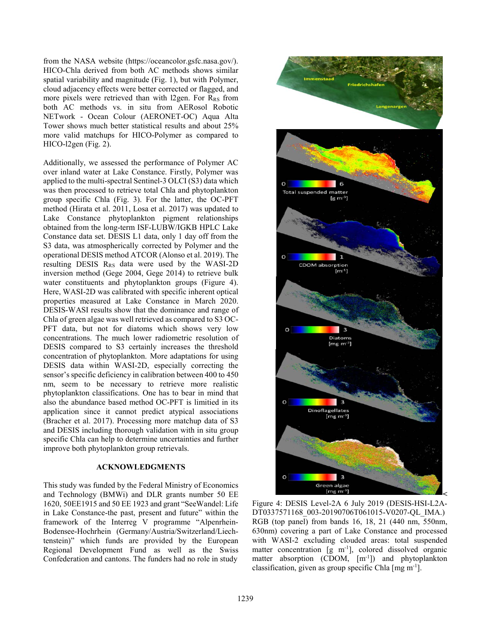from the NASA website (https://oceancolor.gsfc.nasa.gov/). HICO-Chla derived from both AC methods shows similar spatial variability and magnitude (Fig. 1), but with Polymer, cloud adjacency effects were better corrected or flagged, and more pixels were retrieved than with l2gen. For  $R_{RS}$  from both AC methods vs. in situ from AERosol Robotic NETwork - Ocean Colour (AERONET-OC) Aqua Alta Tower shows much better statistical results and about 25% more valid matchups for HICO-Polymer as compared to HICO-l2gen (Fig. 2).

Additionally, we assessed the performance of Polymer AC over inland water at Lake Constance. Firstly, Polymer was applied to the multi-spectral Sentinel-3 OLCI (S3) data which was then processed to retrieve total Chla and phytoplankton group specific Chla (Fig. 3). For the latter, the OC-PFT method (Hirata et al. 2011, Losa et al. 2017) was updated to Lake Constance phytoplankton pigment relationships obtained from the long-term ISF-LUBW/IGKB HPLC Lake Constance data set. DESIS L1 data, only 1 day off from the S3 data, was atmospherically corrected by Polymer and the operational DESIS method ATCOR (Alonso et al. 2019). The resulting DESIS  $R_{RS}$  data were used by the WASI-2D inversion method (Gege 2004, Gege 2014) to retrieve bulk water constituents and phytoplankton groups (Figure 4). Here, WASI-2D was calibrated with specific inherent optical properties measured at Lake Constance in March 2020. DESIS-WASI results show that the dominance and range of Chla of green algae was well retrieved as compared to S3 OC-PFT data, but not for diatoms which shows very low concentrations. The much lower radiometric resolution of DESIS compared to S3 certainly increases the threshold concentration of phytoplankton. More adaptations for using DESIS data within WASI-2D, especially correcting the sensor's specific deficiency in calibration between 400 to 450 nm, seem to be necessary to retrieve more realistic phytoplankton classifications. One has to bear in mind that also the abundance based method OC-PFT is limitied in its application since it cannot predict atypical associations (Bracher et al. 2017). Processing more matchup data of S3 and DESIS including thorough validation with in situ group specific Chla can help to determine uncertainties and further improve both phytoplankton group retrievals.

# **ACKNOWLEDGMENTS**

This study was funded by the Federal Ministry of Economics and Technology (BMWi) and DLR grants number 50 EE 1620, 50EE1915 and 50 EE 1923 and grant "SeeWandel: Life in Lake Constance-the past, present and future" within the framework of the Interreg V programme "Alpenrhein-Bodensee-Hochrhein (Germany/Austria/Switzerland/Liechtenstein)" which funds are provided by the European Regional Development Fund as well as the Swiss Confederation and cantons. The funders had no role in study



Figure 4: DESIS Level-2A 6 July 2019 (DESIS-HSI-L2A-DT0337571168\_003-20190706T061015-V0207-QL\_IMA.) RGB (top panel) from bands 16, 18, 21 (440 nm, 550nm, 630nm) covering a part of Lake Constance and processed with WASI-2 excluding clouded areas: total suspended matter concentration  $[g \ m^{-1}]$ , colored dissolved organic matter absorption (CDOM,  $[m^{-1}]$ ) and phytoplankton classification, given as group specific Chla [mg m-1].